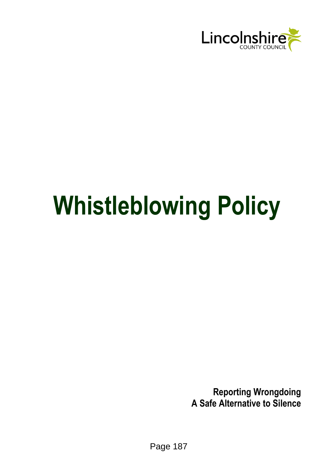

# **Whistleblowing Policy**

**Reporting Wrongdoing A Safe Alternative to Silence**

Page 187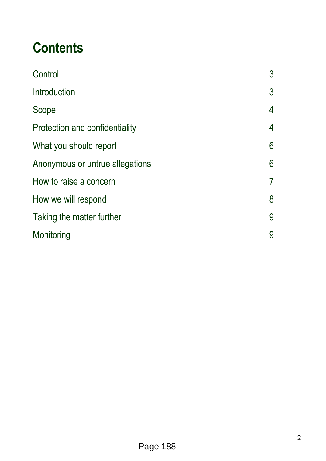## **Contents**

| Control                         | 3              |
|---------------------------------|----------------|
| Introduction                    | 3              |
| Scope                           | $\overline{4}$ |
| Protection and confidentiality  | 4              |
| What you should report          | 6              |
| Anonymous or untrue allegations | 6              |
| How to raise a concern          | $\overline{7}$ |
| How we will respond             | 8              |
| Taking the matter further       | 9              |
| Monitoring                      | 9              |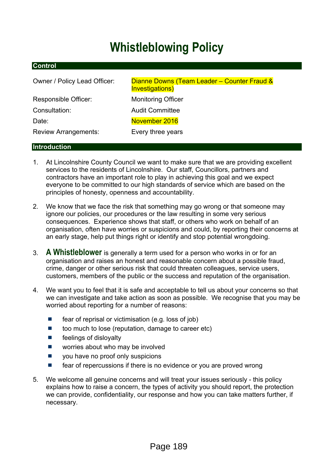### **Whistleblowing Policy**

#### **Control**

| Owner / Policy Lead Officer: | Dianne Downs (Team Leader - Counter Fraud &<br><b>Investigations)</b> |
|------------------------------|-----------------------------------------------------------------------|
| Responsible Officer:         | <b>Monitoring Officer</b>                                             |
| Consultation:                | <b>Audit Committee</b>                                                |
| Date:                        | November 2016                                                         |
| <b>Review Arrangements:</b>  | Every three years                                                     |
| Introduction                 |                                                                       |

- 1. At Lincolnshire County Council we want to make sure that we are providing excellent services to the residents of Lincolnshire. Our staff, Councillors, partners and contractors have an important role to play in achieving this goal and we expect everyone to be committed to our high standards of service which are based on the principles of honesty, openness and accountability.
- 2. We know that we face the risk that something may go wrong or that someone may ignore our policies, our procedures or the law resulting in some very serious consequences. Experience shows that staff, or others who work on behalf of an organisation, often have worries or suspicions and could, by reporting their concerns at an early stage, help put things right or identify and stop potential wrongdoing.
- 3. **A Whistleblower** is generally a term used for a person who works in or for an organisation and raises an honest and reasonable concern about a possible fraud, crime, danger or other serious risk that could threaten colleagues, service users, customers, members of the public or the success and reputation of the organisation.
- 4. We want you to feel that it is safe and acceptable to tell us about your concerns so that we can investigate and take action as soon as possible. We recognise that you may be worried about reporting for a number of reasons:
	- $\overline{\phantom{a}}$ fear of reprisal or victimisation (e.g. loss of job)
	- $\Box$ too much to lose (reputation, damage to career etc)
	- $\overline{\phantom{a}}$ feelings of disloyalty
	- $\overline{\phantom{a}}$ worries about who may be involved
	- $\overline{\phantom{a}}$ you have no proof only suspicions
	- $\overline{\phantom{a}}$ fear of repercussions if there is no evidence or you are proved wrong
- 5. We welcome all genuine concerns and will treat your issues seriously this policy explains how to raise a concern, the types of activity you should report, the protection we can provide, confidentiality, our response and how you can take matters further, if necessary.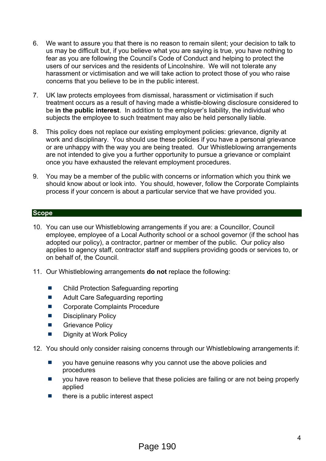- 6. We want to assure you that there is no reason to remain silent; your decision to talk to us may be difficult but, if you believe what you are saying is true, you have nothing to fear as you are following the Council's Code of Conduct and helping to protect the users of our services and the residents of Lincolnshire. We will not tolerate any harassment or victimisation and we will take action to protect those of you who raise concerns that you believe to be in the public interest.
- 7. UK law protects employees from dismissal, harassment or victimisation if such treatment occurs as a result of having made a whistle-blowing disclosure considered to be **in the public interest**. In addition to the employer's liability, the individual who subjects the employee to such treatment may also be held personally liable.
- 8. This policy does not replace our existing employment policies: grievance, dignity at work and disciplinary. You should use these policies if you have a personal grievance or are unhappy with the way you are being treated. Our Whistleblowing arrangements are not intended to give you a further opportunity to pursue a grievance or complaint once you have exhausted the relevant employment procedures.
- 9. You may be a member of the public with concerns or information which you think we should know about or look into. You should, however, follow the Corporate Complaints process if your concern is about a particular service that we have provided you.

#### **Scope**

- 10. You can use our Whistleblowing arrangements if you are: a Councillor, Council employee, employee of a Local Authority school or a school governor (if the school has adopted our policy), a contractor, partner or member of the public. Our policy also applies to agency staff, contractor staff and suppliers providing goods or services to, or on behalf of, the Council.
- 11. Our Whistleblowing arrangements **do not** replace the following:
	- $\overline{\phantom{a}}$ Child Protection Safeguarding reporting
	- $\overline{\phantom{a}}$ Adult Care Safeguarding reporting
	- $\Box$ Corporate Complaints Procedure
	- Disciplinary Policy m.
	- $\overline{\phantom{a}}$ Grievance Policy
	- $\Box$ Dignity at Work Policy
- 12. You should only consider raising concerns through our Whistleblowing arrangements if:
	- $\mathcal{L}_{\mathcal{A}}$ you have genuine reasons why you cannot use the above policies and procedures
	- you have reason to believe that these policies are failing or are not being properly  $\mathcal{L}_{\mathcal{A}}$ applied
	- there is a public interest aspect  $\blacksquare$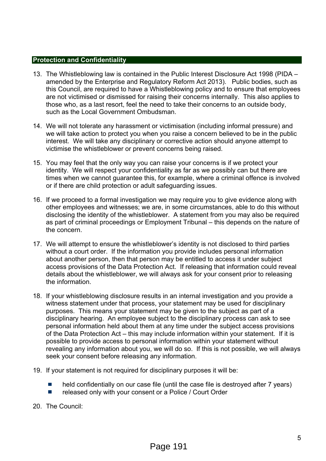#### **Protection and Confidentiality**

- 13. The Whistleblowing law is contained in the Public Interest Disclosure Act 1998 (PIDA amended by the Enterprise and Regulatory Reform Act 2013). Public bodies, such as this Council, are required to have a Whistleblowing policy and to ensure that employees are not victimised or dismissed for raising their concerns internally. This also applies to those who, as a last resort, feel the need to take their concerns to an outside body, such as the Local Government Ombudsman.
- 14. We will not tolerate any harassment or victimisation (including informal pressure) and we will take action to protect you when you raise a concern believed to be in the public interest. We will take any disciplinary or corrective action should anyone attempt to victimise the whistleblower or prevent concerns being raised.
- 15. You may feel that the only way you can raise your concerns is if we protect your identity. We will respect your confidentiality as far as we possibly can but there are times when we cannot guarantee this, for example, where a criminal offence is involved or if there are child protection or adult safeguarding issues.
- 16. If we proceed to a formal investigation we may require you to give evidence along with other employees and witnesses; we are, in some circumstances, able to do this without disclosing the identity of the whistleblower. A statement from you may also be required as part of criminal proceedings or Employment Tribunal – this depends on the nature of the concern.
- 17. We will attempt to ensure the whistleblower's identity is not disclosed to third parties without a court order. If the information you provide includes personal information about another person, then that person may be entitled to access it under subject access provisions of the Data Protection Act. If releasing that information could reveal details about the whistleblower, we will always ask for your consent prior to releasing the information.
- 18. If your whistleblowing disclosure results in an internal investigation and you provide a witness statement under that process, your statement may be used for disciplinary purposes. This means your statement may be given to the subject as part of a disciplinary hearing. An employee subject to the disciplinary process can ask to see personal information held about them at any time under the subject access provisions of the Data Protection Act – this may include information within your statement. If it is possible to provide access to personal information within your statement without revealing any information about you, we will do so. If this is not possible, we will always seek your consent before releasing any information.
- 19. If your statement is not required for disciplinary purposes it will be:
	- held confidentially on our case file (until the case file is destroyed after 7 years)  $\mathcal{C}^{\mathcal{A}}$
	- released only with your consent or a Police / Court Order
- 20. The Council: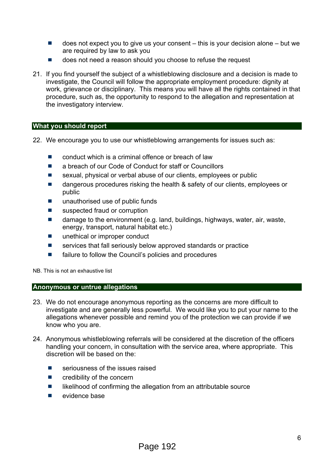- $\mathcal{L}_{\rm{max}}$ does not expect you to give us your consent – this is your decision alone – but we are required by law to ask you
- does not need a reason should you choose to refuse the request
- 21. If you find yourself the subject of a whistleblowing disclosure and a decision is made to investigate, the Council will follow the appropriate employment procedure: dignity at work, grievance or disciplinary. This means you will have all the rights contained in that procedure, such as, the opportunity to respond to the allegation and representation at the investigatory interview.

#### **What you should report**

- 22. We encourage you to use our whistleblowing arrangements for issues such as:
	- conduct which is a criminal offence or breach of law  $\mathcal{L}_{\mathcal{A}}$
	- a breach of our Code of Conduct for staff or Councillors  $\overline{\phantom{a}}$
	- $\mathcal{L}_{\mathcal{A}}$ sexual, physical or verbal abuse of our clients, employees or public
	- $\overline{\phantom{a}}$ dangerous procedures risking the health & safety of our clients, employees or public
	- unauthorised use of public funds
	- suspected fraud or corruption m.
	- damage to the environment (e.g. land, buildings, highways, water, air, waste,  $\mathcal{L}_{\mathcal{A}}$ energy, transport, natural habitat etc.)
	- $\overline{\phantom{a}}$ unethical or improper conduct
	- $\mathcal{L}_{\mathcal{A}}$ services that fall seriously below approved standards or practice
	- failure to follow the Council's policies and procedures  $\mathcal{C}^{\mathcal{A}}$

NB. This is not an exhaustive list

#### **Anonymous or untrue allegations**

- 23. We do not encourage anonymous reporting as the concerns are more difficult to investigate and are generally less powerful. We would like you to put your name to the allegations whenever possible and remind you of the protection we can provide if we know who you are.
- 24. Anonymous whistleblowing referrals will be considered at the discretion of the officers handling your concern, in consultation with the service area, where appropriate. This discretion will be based on the:
	- $\overline{\phantom{a}}$ seriousness of the issues raised
	- $\overline{\phantom{a}}$ credibility of the concern
	- $\mathbb{R}^n$ likelihood of confirming the allegation from an attributable source
	- evidence base  $\overline{\phantom{a}}$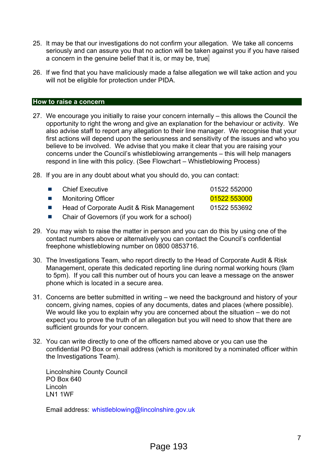- 25. It may be that our investigations do not confirm your allegation. We take all concerns seriously and can assure you that no action will be taken against you if you have raised a concern in the genuine belief that it is, or may be, true.
- 26. If we find that you have maliciously made a false allegation we will take action and you will not be eligible for protection under PIDA.

#### **How to raise a concern**

- 27. We encourage you initially to raise your concern internally this allows the Council the opportunity to right the wrong and give an explanation for the behaviour or activity. We also advise staff to report any allegation to their line manager. We recognise that your first actions will depend upon the seriousness and sensitivity of the issues and who you believe to be involved. We advise that you make it clear that you are raising your concerns under the Council's whistleblowing arrangements – this will help managers respond in line with this policy. (See Flowchart – Whistleblowing Process)
- 28. If you are in any doubt about what you should do, you can contact:

| <b>Chief Executive</b>                    | 01522 552000 |
|-------------------------------------------|--------------|
| <b>Monitoring Officer</b>                 | 01522 553000 |
| Head of Corporate Audit & Risk Management | 01522 553692 |

- $\mathcal{L}_{\mathcal{A}}$ Chair of Governors (if you work for a school)
- 29. You may wish to raise the matter in person and you can do this by using one of the contact numbers above or alternatively you can contact the Council's confidential freephone whistleblowing number on 0800 0853716.
- 30. The Investigations Team, who report directly to the Head of Corporate Audit & Risk Management, operate this dedicated reporting line during normal working hours (9am to 5pm). If you call this number out of hours you can leave a message on the answer phone which is located in a secure area.
- 31. Concerns are better submitted in writing we need the background and history of your concern, giving names, copies of any documents, dates and places (where possible). We would like you to explain why you are concerned about the situation – we do not expect you to prove the truth of an allegation but you will need to show that there are sufficient grounds for your concern.
- 32. You can write directly to one of the officers named above or you can use the confidential PO Box or email address (which is monitored by a nominated officer within the Investigations Team).

Lincolnshire County Council PO Box 640 Lincoln LN1 1WF

Email address: whistleblowing@lincolnshire.gov.uk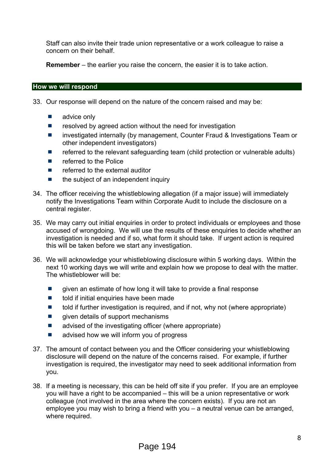Staff can also invite their trade union representative or a work colleague to raise a concern on their behalf.

**Remember** – the earlier you raise the concern, the easier it is to take action.

#### **How we will respond**

- 33. Our response will depend on the nature of the concern raised and may be:
	- $\mathcal{L}_{\mathcal{A}}$ advice only
	- $\overline{\phantom{a}}$ resolved by agreed action without the need for investigation
	- investigated internally (by management, Counter Fraud & Investigations Team or  $\mathcal{L}_{\mathcal{A}}$ other independent investigators)
	- $\overline{\phantom{a}}$ referred to the relevant safeguarding team (child protection or vulnerable adults)
	- referred to the Police **I**
	- $\overline{\phantom{a}}$ referred to the external auditor
	- the subject of an independent inquiry  $\mathcal{L}_{\mathcal{A}}$
- 34. The officer receiving the whistleblowing allegation (if a major issue) will immediately notify the Investigations Team within Corporate Audit to include the disclosure on a central register.
- 35. We may carry out initial enquiries in order to protect individuals or employees and those accused of wrongdoing. We will use the results of these enquiries to decide whether an investigation is needed and if so, what form it should take. If urgent action is required this will be taken before we start any investigation.
- 36. We will acknowledge your whistleblowing disclosure within 5 working days. Within the next 10 working days we will write and explain how we propose to deal with the matter. The whistleblower will be:
	- $\mathcal{L}_{\mathcal{A}}$ given an estimate of how long it will take to provide a final response
	- $\mathcal{L}_{\mathcal{A}}$ told if initial enquiries have been made
	- $\mathcal{L}_{\mathcal{A}}$ told if further investigation is required, and if not, why not (where appropriate)
	- $\mathcal{L}_{\mathcal{A}}$ given details of support mechanisms
	- $\mathcal{L}_{\mathcal{A}}$ advised of the investigating officer (where appropriate)
	- $\overline{\phantom{a}}$ advised how we will inform you of progress
- 37. The amount of contact between you and the Officer considering your whistleblowing disclosure will depend on the nature of the concerns raised. For example, if further investigation is required, the investigator may need to seek additional information from you.
- 38. If a meeting is necessary, this can be held off site if you prefer. If you are an employee you will have a right to be accompanied – this will be a union representative or work colleague (not involved in the area where the concern exists). If you are not an employee you may wish to bring a friend with you – a neutral venue can be arranged, where required.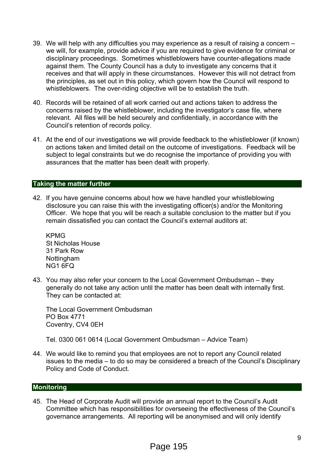- 39. We will help with any difficulties you may experience as a result of raising a concern we will, for example, provide advice if you are required to give evidence for criminal or disciplinary proceedings. Sometimes whistleblowers have counter-allegations made against them. The County Council has a duty to investigate any concerns that it receives and that will apply in these circumstances. However this will not detract from the principles, as set out in this policy, which govern how the Council will respond to whistleblowers. The over-riding objective will be to establish the truth.
- 40. Records will be retained of all work carried out and actions taken to address the concerns raised by the whistleblower, including the investigator's case file, where relevant. All files will be held securely and confidentially, in accordance with the Council's retention of records policy.
- 41. At the end of our investigations we will provide feedback to the whistleblower (if known) on actions taken and limited detail on the outcome of investigations. Feedback will be subject to legal constraints but we do recognise the importance of providing you with assurances that the matter has been dealt with properly.

#### **Taking the matter further**

42. If you have genuine concerns about how we have handled your whistleblowing disclosure you can raise this with the investigating officer(s) and/or the Monitoring Officer. We hope that you will be reach a suitable conclusion to the matter but if you remain dissatisfied you can contact the Council's external auditors at:

KPMG St Nicholas House 31 Park Row Nottingham NG1 6FQ

43. You may also refer your concern to the Local Government Ombudsman – they generally do not take any action until the matter has been dealt with internally first. They can be contacted at:

The Local Government Ombudsman PO Box 4771 Coventry, CV4 0EH

Tel. 0300 061 0614 (Local Government Ombudsman – Advice Team)

44. We would like to remind you that employees are not to report any Council related issues to the media – to do so may be considered a breach of the Council's Disciplinary Policy and Code of Conduct.

#### **Monitoring**

45. The Head of Corporate Audit will provide an annual report to the Council's Audit Committee which has responsibilities for overseeing the effectiveness of the Council's governance arrangements. All reporting will be anonymised and will only identify